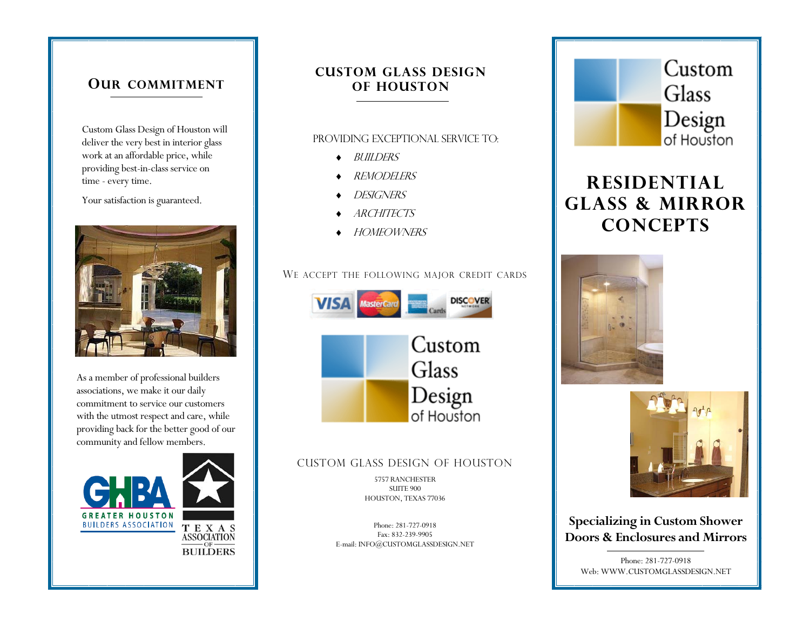### **OUR COMMITMENT**

Custom Glass Design of Houston will deliver the very best in interior glass work at an affordable price, while providing best-in-class service on time - every time.

Your satisfaction is guaranteed.



As a member of professional builders associations, we make it our daily commitment to service our customers with the utmost respect and care, while providing back for the better good of our community and fellow members.



## **CUSTOM GLASS DESIGN OF HOUSTON**

#### Providing exceptional service to:

- ♦ Builders
- **REMODELERS**
- DESIGNERS
- **ARCHITECTS**
- ♦ homeowners

### WE ACCEPT THE FOLLOWING MAJOR CREDIT CARDS



### CUSTOM GLASS DESIGN OF HOUSTON

5757 RANCHESTER SUITE 900 HOUSTON, TEXAS 77036

Phone: 281-727-0918 Fax: 832-239-9905 E-mail: INFO@CUSTOMGLASSDESIGN.NET



## **RESIDENTIAL GLASS & MIRROR CONCEPTS**





**Specializing in Custom Shower Doors & Enclosures and Mirrors** 

Phone: 281-727-0918 Web: WWW.CUSTOMGLASSDESIGN.NET